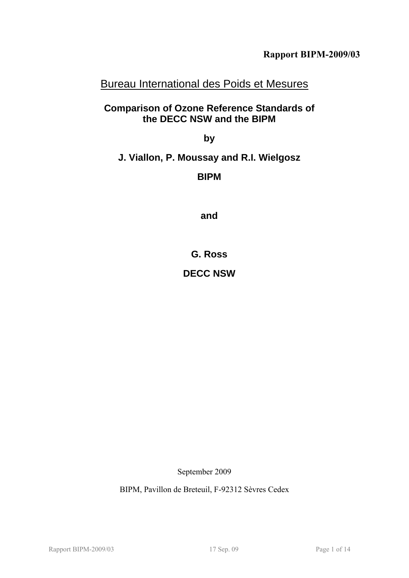# Bureau International des Poids et Mesures

## **Comparison of Ozone Reference Standards of the DECC NSW and the BIPM**

**by** 

## **J. Viallon, P. Moussay and R.I. Wielgosz**

**BIPM** 

**and** 

**G. Ross** 

## **DECC NSW**

September 2009

BIPM, Pavillon de Breteuil, F-92312 Sèvres Cedex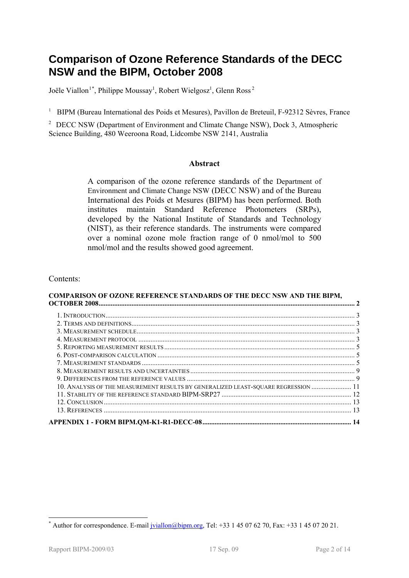# <span id="page-1-2"></span>**Comparison of Ozone Reference Standards of the DECC NSW and the BIPM, October 2008**

Joële Viallon<sup>[1](#page-1-0)\*</sup>, Philippe Moussay<sup>1</sup>, Robert Wielgosz<sup>1</sup>, Glenn Ross<sup>2</sup>

<sup>1</sup> BIPM (Bureau International des Poids et Mesures), Pavillon de Breteuil, F-92312 Sèvres, France

<span id="page-1-1"></span><sup>2</sup> [DECC NSW](#page-2-0) (Department of Environment and Climate Change NSW), Dock 3, Atmospheric Science Building, 480 Weeroona Road, Lidcombe NSW 2141, Australia

#### **Abstract**

A comparison of the ozone reference standards of the [Department of](#page-1-1)  [Environment and Climate Change NSW](#page-1-1) [\(DECC NSW](#page-2-0)) and of the Bureau International des Poids et Mesures (BIPM) has been performed. Both institutes maintain Standard Reference Photometers (SRPs), developed by the National Institute of Standards and Technology (NIST), as their reference standards. The instruments were compared over a nominal ozone mole fraction range of 0 nmol/mol to 500 nmol/mol and the results showed good agreement.

#### Contents:

#### **[COMPARISON OF OZONE REFERENCE STANDARDS OF THE DECC NSW AND THE BIPM,](#page-1-2)  [OCTOBER 2008.................................................................................................................................................... 2](#page-1-2)** [1.](#page-2-1) [INTRODUCTION................................................................................................................................................ 3](#page-2-1)

| 10. ANALYSIS OF THE MEASUREMENT RESULTS BY GENERALIZED LEAST-SQUARE REGRESSION  11 |  |
|------------------------------------------------------------------------------------|--|
|                                                                                    |  |
|                                                                                    |  |
|                                                                                    |  |
|                                                                                    |  |
|                                                                                    |  |

1

<span id="page-1-0"></span><sup>\*</sup> Author for correspondence. E-mail [jviallon@bipm.org](mailto:jviallon@bipm.org), Tel: +33 1 45 07 62 70, Fax: +33 1 45 07 20 21.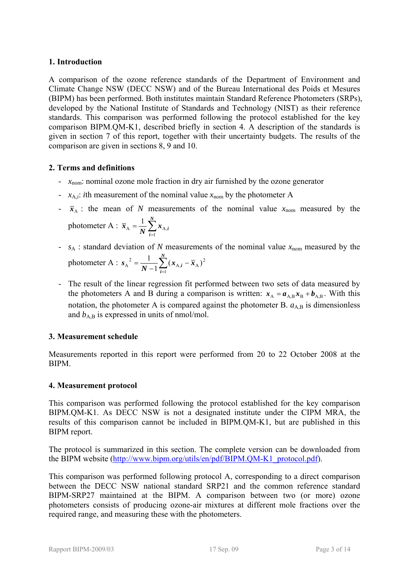## <span id="page-2-1"></span>**1. Introduction**

<span id="page-2-0"></span>A comparison of the ozone reference standards of the [Department of Environment and](#page-1-1)  [Climate Change NSW](#page-1-1) (DECC NSW) and of the Bureau International des Poids et Mesures (BIPM) has been performed. Both institutes maintain Standard Reference Photometers (SRPs), developed by the National Institute of Standards and Technology (NIST) as their reference standards. This comparison was performed following the protocol established for the key comparison BIPM.QM-K1, described briefly in section [4](#page-2-4). A description of the standards is given in section [7](#page-4-2) of this report, together with their uncertainty budgets. The results of the comparison are given in sections [8](#page-8-0), [9](#page-8-1) and [10.](#page-10-0)

#### <span id="page-2-2"></span>**2. Terms and definitions**

- *x*nom: nominal ozone mole fraction in dry air furnished by the ozone generator
- $x_{A,i}$ : *i*th measurement of the nominal value  $x_{nom}$  by the photometer A
- $\bar{x}_A$ : the mean of *N* measurements of the nominal value  $x_{\text{nom}}$  measured by the photometer A :  $\bar{x}_A = \frac{1}{N} \sum_{i=1}^{N}$ *N*  $\overline{x}_{A} = \frac{1}{N} \sum_{i=1}^{N} x_{A,i}$ 1  $A = \frac{1}{M} \sum A$ 1
- $s_A$ : standard deviation of *N* measurements of the nominal value  $x_{nom}$  measured by the photometer A :  $s_A^2 = \frac{1}{N-1} \sum_{i=1}^N (x_{A,i} -$ *N i*  $\frac{1}{N-1} \sum_{i=1}^{N} (x_{A,i} - \bar{x})$ *s* 1  $_{A,i}$  –  $\overline{x}_A$ )<sup>2</sup>  $A^{2} = \frac{1}{N-1} \sum_{i=1}^{N} (x_{A,i} - \overline{x}_{A})$
- The result of the linear regression fit performed between two sets of data measured by the photometers A and B during a comparison is written:  $x_A = a_{A,B} x_B + b_{A,B}$ . With this notation, the photometer A is compared against the photometer B.  $a_{A,B}$  is dimensionless and  $b_{AB}$  is expressed in units of nmol/mol.

## <span id="page-2-3"></span>**3. Measurement schedule**

Measurements reported in this report were performed from 20 to 22 October 2008 at the BIPM.

#### <span id="page-2-4"></span>**4. Measurement protocol**

This comparison was performed following the protocol established for the key comparison BIPM.QM-K1. As DECC NSW is not a designated institute under the CIPM MRA, the results of this comparison cannot be included in BIPM.QM-K1, but are published in this BIPM report.

The protocol is summarized in this section. The complete version can be downloaded from the BIPM website ([http://www.bipm.org/utils/en/pdf/BIPM.QM-K1\\_protocol.pdf\)](http://www.bipm.org/utils/en/pdf/BIPM.QM-K1_protocol.pdf).

<span id="page-2-5"></span>This comparison was performed following protocol A, corresponding to a direct comparison between the [DECC NSW](#page-2-0) national standard SRP21 and the common reference standard BIPM-SRP27 maintained at the BIPM. A comparison between two (or more) ozone photometers consists of producing ozone-air mixtures at different mole fractions over the required range, and measuring these with the photometers.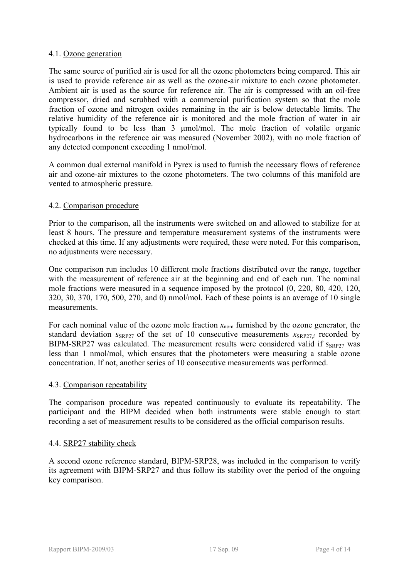#### 4.1. Ozone generation

The same source of purified air is used for all the ozone photometers being compared. This air is used to provide reference air as well as the ozone-air mixture to each ozone photometer. Ambient air is used as the source for reference air. The air is compressed with an oil-free compressor, dried and scrubbed with a commercial purification system so that the mole fraction of ozone and nitrogen oxides remaining in the air is below detectable limits. The relative humidity of the reference air is monitored and the mole fraction of water in air typically found to be less than 3 μmol/mol. The mole fraction of volatile organic hydrocarbons in the reference air was measured (November 2002), with no mole fraction of any detected component exceeding 1 nmol/mol.

A common dual external manifold in Pyrex is used to furnish the necessary flows of reference air and ozone-air mixtures to the ozone photometers. The two columns of this manifold are vented to atmospheric pressure.

#### 4.2. Comparison procedure

Prior to the comparison, all the instruments were switched on and allowed to stabilize for at least 8 hours. The pressure and temperature measurement systems of the instruments were checked at this time. If any adjustments were required, these were noted. For this comparison, no adjustments were necessary.

One comparison run includes 10 different mole fractions distributed over the range, together with the measurement of reference air at the beginning and end of each run. The nominal mole fractions were measured in a sequence imposed by the protocol (0, 220, 80, 420, 120, 320, 30, 370, 170, 500, 270, and 0) nmol/mol. Each of these points is an average of 10 single measurements.

For each nominal value of the ozone mole fraction  $x_{nom}$  furnished by the ozone generator, the standard deviation  $S_{SRP27}$  of the set of 10 consecutive measurements  $X_{SRP27}$  recorded by BIPM-SRP27 was calculated. The measurement results were considered valid if  $s_{SRP27}$  was less than 1 nmol/mol, which ensures that the photometers were measuring a stable ozone concentration. If not, another series of 10 consecutive measurements was performed.

#### 4.3. Comparison repeatability

The comparison procedure was repeated continuously to evaluate its repeatability. The participant and the BIPM decided when both instruments were stable enough to start recording a set of measurement results to be considered as the official comparison results.

#### 4.4. SRP27 stability check

A second ozone reference standard, BIPM-SRP28, was included in the comparison to verify its agreement with BIPM-SRP27 and thus follow its stability over the period of the ongoing key comparison.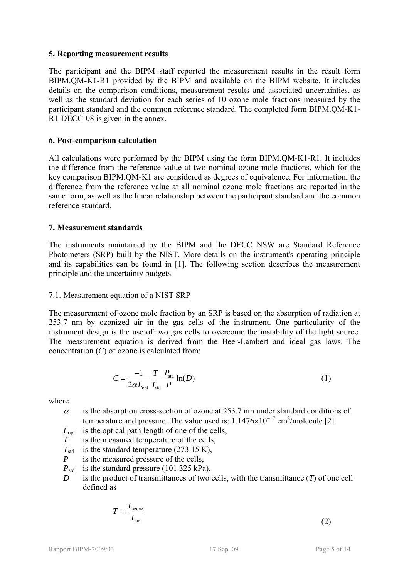#### <span id="page-4-0"></span>**5. Reporting measurement results**

<span id="page-4-3"></span>The participant and the BIPM staff reported the measurement results in the result form BIPM.QM-K1-R1 provided by the BIPM and available on the BIPM website. It includes details on the comparison conditions, measurement results and associated uncertainties, as well as the standard deviation for each series of 10 ozone mole fractions measured by the participant standard and the common reference standard. The completed form BIPM.QM-K1- R1-DECC-08 is given in the annex.

### <span id="page-4-4"></span><span id="page-4-1"></span>**6. Post-comparison calculation**

All calculations were performed by the BIPM using the form [BIPM.QM-K1-R1.](#page-4-3) It includes the difference from the reference value at two nominal ozone mole fractions, which for the key comparison BIPM.QM-K1 are considered as degrees of equivalence. For information, the difference from the reference value at all nominal ozone mole fractions are reported in the same form, as well as the linear relationship between the participant standard and the common reference standard.

#### <span id="page-4-2"></span>**7. Measurement standards**

The instruments maintained by the BIPM and the [DECC NSW](#page-2-0) are Standard Reference Photometers (SRP) built by the NIST. More details on the instrument's operating principle and its capabilities can be found in [1]. The following section describes the measurement principle and the uncertainty budgets.

#### 7.1. Measurement equation of a NIST SRP

The measurement of ozone mole fraction by an SRP is based on the absorption of radiation at 253.7 nm by ozonized air in the gas cells of the instrument. One particularity of the instrument design is the use of two gas cells to overcome the instability of the light source. The measurement equation is derived from the Beer-Lambert and ideal gas laws. The concentration (*C*) of ozone is calculated from:

$$
C = \frac{-1}{2\alpha L_{opt}} \frac{T}{T_{\text{std}}} \frac{P_{\text{std}}}{P} \ln(D) \tag{1}
$$

where

 $\alpha$  is the absorption cross-section of ozone at 253.7 nm under standard conditions of temperature and pressure. The value used is:  $1.1476 \times 10^{-17}$  cm<sup>2</sup>/molecule [2].

- $L_{\text{opt}}$  is the optical path length of one of the cells,
- *T* is the measured temperature of the cells,
- $T_{std}$  is the standard temperature (273.15 K),
- *P* is the measured pressure of the cells,
- $P_{\text{std}}$  is the standard pressure (101.325 kPa),
- *D* is the product of transmittances of two cells, with the transmittance (*T*) of one cell defined as

$$
T = \frac{I_{\text{ozone}}}{I_{\text{air}}} \tag{2}
$$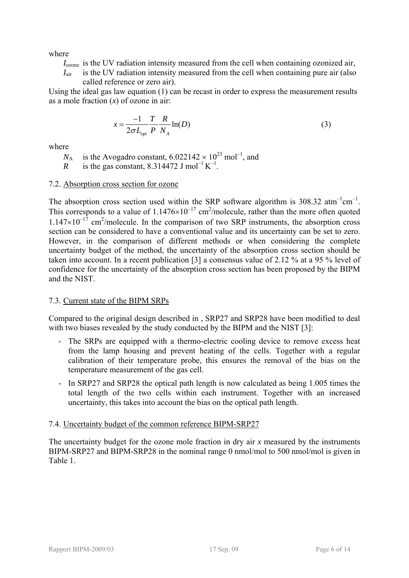where

- *I*ozone is the UV radiation intensity measured from the cell when containing ozonized air,
- *I*<sub>air</sub> is the UV radiation intensity measured from the cell when containing pure air (also called reference or zero air).

Using the ideal gas law equation (1) can be recast in order to express the measurement results as a mole fraction (*x*) of ozone in air:

$$
x = \frac{-1}{2\sigma L_{\text{opt}}} \frac{T}{P} \frac{R}{N_A} \ln(D) \tag{3}
$$

where

 $N_A$  is the Avogadro constant, 6.022142  $\times$  10<sup>23</sup> mol<sup>-1</sup>, and

*R* is the gas constant, 8.314472 J mol<sup>-1</sup> K<sup>-1</sup>.

## 7.2. Absorption cross section for ozone

The absorption cross section used within the SRP software algorithm is  $308.32 \text{ atm}^{-1} \text{cm}^{-1}$ . This corresponds to a value of  $1.1476\times10^{-17}$  cm<sup>2</sup>/molecule, rather than the more often quoted  $1.147\times10^{-17}$  cm<sup>2</sup>/molecule. In the comparison of two SRP instruments, the absorption cross section can be considered to have a conventional value and its uncertainty can be set to zero. However, in the comparison of different methods or when considering the complete uncertainty budget of the method, the uncertainty of the absorption cross section should be taken into account. In a recent publication [3] a consensus value of 2.12 % at a 95 % level of confidence for the uncertainty of the absorption cross section has been proposed by the BIPM and the NIST.

## 7.3. Current state of the BIPM SRPs

Compared to the original design described in , SRP27 and SRP28 have been modified to deal with two biases revealed by the study conducted by the BIPM and the NIST [3]:

- The SRPs are equipped with a thermo-electric cooling device to remove excess heat from the lamp housing and prevent heating of the cells. Together with a regular calibration of their temperature probe, this ensures the removal of the bias on the temperature measurement of the gas cell.
- In SRP27 and SRP28 the optical path length is now calculated as being 1.005 times the total length of the two cells within each instrument. Together with an increased uncertainty, this takes into account the bias on the optical path length.

## 7.4. Uncertainty budget of the common reference BIPM-SRP27

The uncertainty budget for the ozone mole fraction in dry air *x* measured by the instruments BIPM-SRP27 and BIPM-SRP28 in the nominal range 0 nmol/mol to 500 nmol/mol is given in [Table 1](#page-6-0).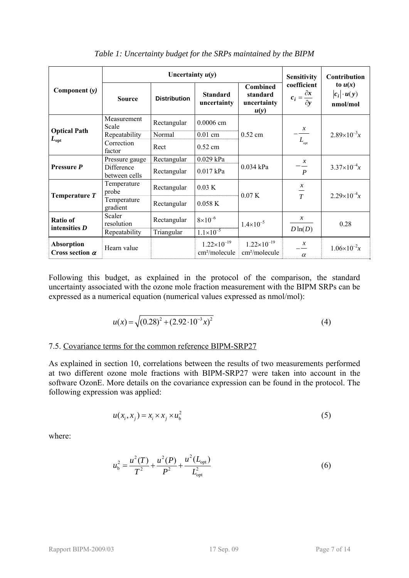<span id="page-6-0"></span>

|                                             |                             | Uncertainty $u(y)$  |                                                   | <b>Sensitivity</b>                                | Contribution                                         |                                             |
|---------------------------------------------|-----------------------------|---------------------|---------------------------------------------------|---------------------------------------------------|------------------------------------------------------|---------------------------------------------|
| Component $(y)$                             | <b>Source</b>               | <b>Distribution</b> | <b>Standard</b><br>uncertainty                    | Combined<br>standard<br>uncertainty<br>u(y)       | coefficient<br>$c_i = \frac{\partial x}{\partial y}$ | to $u(x)$<br>$ c_i  \cdot u(y)$<br>nmol/mol |
|                                             | Measurement<br>Scale        | Rectangular         | $0.0006$ cm                                       |                                                   |                                                      |                                             |
| <b>Optical Path</b>                         | Repeatability               | Normal              | $0.01$ cm                                         | $0.52$ cm                                         | $\frac{x}{x}$                                        | $2.89\times10^{-3}x$                        |
| $L_{\rm opt}$                               | Correction<br>factor        | Rect                | $0.52$ cm                                         |                                                   | $L_{\text{opt}}$                                     |                                             |
| Pressure P                                  | Pressure gauge              | Rectangular         | 0.029 kPa                                         |                                                   | $\mathcal{X}$                                        |                                             |
|                                             | Difference<br>between cells | Rectangular         | $0.017$ kPa                                       | 0.034 kPa                                         | $\boldsymbol{P}$                                     | $3.37\times10^{-4}x$                        |
| Temperature T                               | Temperature<br>probe        | Rectangular         | 0.03 K                                            | 0.07K                                             | $rac{x}{T}$                                          | $2.29\times10^{-4}x$                        |
|                                             | Temperature<br>gradient     | Rectangular         | 0.058K                                            |                                                   |                                                      |                                             |
| Ratio of<br>intensities $D$                 | Scaler<br>resolution        | Rectangular         | $8\times10^{-6}$                                  | $1.4 \times 10^{-5}$                              | $\mathcal{X}$                                        | 0.28                                        |
|                                             | Repeatability               | Triangular          | $1.1 \times 10^{-5}$                              |                                                   | $D\ln(D)$                                            |                                             |
| <b>Absorption</b><br>Cross section $\alpha$ | Hearn value                 |                     | $1.22\times10^{-19}$<br>cm <sup>2</sup> /molecule | $1.22\times10^{-19}$<br>cm <sup>2</sup> /molecule | $\boldsymbol{x}$<br>$\alpha$                         | $1.06\times10^{-2}x$                        |

*Table 1: Uncertainty budget for the SRPs maintained by the BIPM* 

Following this budget, as explained in the protocol of the comparison, the standard uncertainty associated with the ozone mole fraction measurement with the BIPM SRPs can be expressed as a numerical equation (numerical values expressed as nmol/mol):

$$
u(x) = \sqrt{(0.28)^2 + (2.92 \cdot 10^{-3} x)^2}
$$
 (4)

#### 7.5. Covariance terms for the common reference BIPM-SRP27

As explained in section [10,](#page-10-0) correlations between the results of two measurements performed at two different ozone mole fractions with BIPM-SRP27 were taken into account in the software OzonE. More details on the covariance expression can be found in the protocol. The following expression was applied:

$$
u(x_i, x_j) = x_i \times x_j \times u_b^2 \tag{5}
$$

where:

$$
u_{\rm b}^2 = \frac{u^2(T)}{T^2} + \frac{u^2(P)}{P^2} + \frac{u^2(L_{\rm opt})}{L_{\rm opt}^2}
$$
 (6)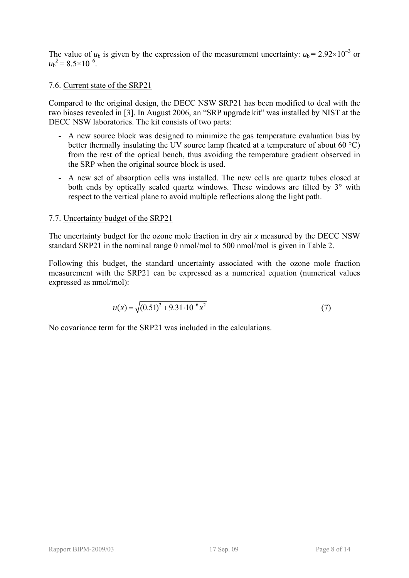The value of  $u_b$  is given by the expression of the measurement uncertainty:  $u_b = 2.92 \times 10^{-3}$  or  $u_{\rm b}^2$  = 8.5×10<sup>-6</sup>.

### 7.6. Current state of the [SRP21](#page-2-5)

Compared to the original design, the [DECC NSW](#page-2-0) [SRP21](#page-2-5) has been modified to deal with the two biases revealed in [3]. In August 2006, an "SRP upgrade kit" was installed by NIST at the [DECC NSW](#page-2-0) laboratories. The kit consists of two parts:

- A new source block was designed to minimize the gas temperature evaluation bias by better thermally insulating the UV source lamp (heated at a temperature of about 60 °C) from the rest of the optical bench, thus avoiding the temperature gradient observed in the SRP when the original source block is used.
- A new set of absorption cells was installed. The new cells are quartz tubes closed at both ends by optically sealed quartz windows. These windows are tilted by 3° with respect to the vertical plane to avoid multiple reflections along the light path.

#### 7.7. Uncertainty budget of the [SRP21](#page-2-5)

The uncertainty budget for the ozone mole fraction in dry air *x* measured by the [DECC NSW](#page-2-0) standard [SRP21](#page-2-5) in the nominal range 0 nmol/mol to 500 nmol/mol is given in [Table 2.](#page-8-2)

Following this budget, the standard uncertainty associated with the ozone mole fraction measurement with the [SRP21](#page-2-5) can be expressed as a numerical equation (numerical values expressed as nmol/mol):

$$
u(x) = \sqrt{(0.51)^2 + 9.31 \cdot 10^{-6} x^2}
$$
 (7)

No covariance term for the [SRP21](#page-2-5) was included in the calculations.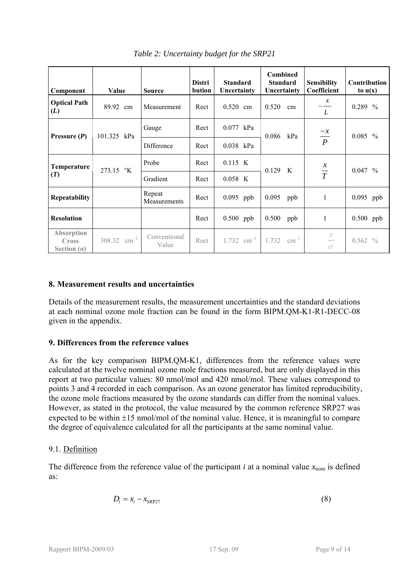<span id="page-8-2"></span>

| Component                                   | Value            | <b>Source</b>          | <b>Distri</b><br>bution | <b>Standard</b><br>Uncertainty | <b>Combined</b><br><b>Standard</b><br>Uncertainty | <b>Sensibility</b><br>Coefficient | Contribution<br>to $u(x)$ |  |
|---------------------------------------------|------------------|------------------------|-------------------------|--------------------------------|---------------------------------------------------|-----------------------------------|---------------------------|--|
| <b>Optical Path</b><br>(L)                  | 89.92 cm         | Measurement            | Rect                    | 0.520<br>cm                    | 0.520<br>cm                                       | $\frac{x}{-}$<br>L                | 0.289 %                   |  |
| Pressure $(P)$                              | 101.325 kPa      | Gauge                  | Rect                    | $0.077$ kPa                    | 0.086<br>kPa                                      | $\frac{-x}{P}$                    | $0.085\%$                 |  |
|                                             |                  | Difference             | Rect                    | 0.038 kPa                      |                                                   |                                   |                           |  |
| Temperature                                 | 273.15 °K        | Probe                  | Rect                    | 0.115 K                        | 0.129 K                                           | $\frac{x}{T}$                     | $0.047\%$                 |  |
| (T)                                         |                  | Gradient               | Rect                    | 0.058 K                        |                                                   |                                   |                           |  |
| <b>Repeatability</b>                        |                  | Repeat<br>Measurements | Rect                    | 0.095 ppb                      | 0.095<br>ppb                                      | 1                                 | 0.095 ppb                 |  |
| <b>Resolution</b>                           |                  |                        | Rect                    | 0.500 ppb                      | 0.500<br>ppb                                      | 1                                 | 0.500 ppb                 |  |
| Absorption<br><b>Cross</b><br>Section $(a)$ | 308.32 $cm^{-1}$ | Conventional<br>Value  | Rect                    |                                | $1.732$ cm <sup>-1</sup> $1.732$ cm <sup>-1</sup> | $\frac{x}{-}$<br>$\alpha$         | $0.562\%$                 |  |

*Table 2: Uncertainty budget for the [SRP21](#page-2-5)* 

#### <span id="page-8-0"></span>**8. Measurement results and uncertainties**

Details of the measurement results, the measurement uncertainties and the standard deviations at each nominal ozone mole fraction can be found in the form [BIPM.QM-K1-R1-DECC-08](#page-4-4) given in the appendix.

## <span id="page-8-1"></span>**9. Differences from the reference values**

As for the key comparison BIPM.QM-K1, differences from the reference values were calculated at the twelve nominal ozone mole fractions measured, but are only displayed in this report at two particular values: 80 nmol/mol and 420 nmol/mol. These values correspond to points 3 and 4 recorded in each comparison. As an ozone generator has limited reproducibility, the ozone mole fractions measured by the ozone standards can differ from the nominal values. However, as stated in the protocol, the value measured by the common reference SRP27 was expected to be within  $\pm 15$  nmol/mol of the nominal value. Hence, it is meaningful to compare the degree of equivalence calculated for all the participants at the same nominal value.

## 9.1. Definition

The difference from the reference value of the participant *i* at a nominal value  $x_{\text{nom}}$  is defined as:

$$
D_i = x_i - x_{SRP27}
$$
 (8)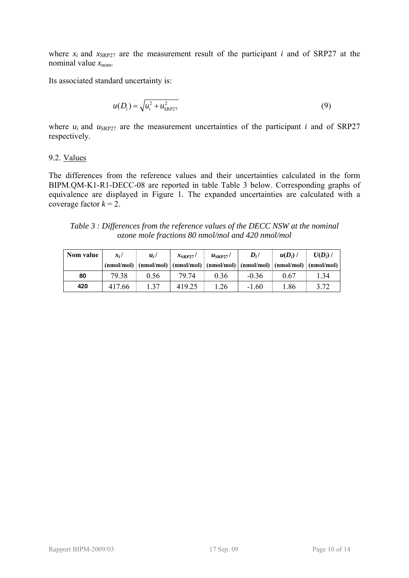where  $x_i$  and  $x_{SRP27}$  are the measurement result of the participant *i* and of SRP27 at the nominal value  $x_{\text{nom}}$ .

Its associated standard uncertainty is:

$$
u(D_i) = \sqrt{u_i^2 + u_{SRP27}^2}
$$
 (9)

where  $u_i$  and  $u_{SRP27}$  are the measurement uncertainties of the participant *i* and of SRP27 respectively.

#### 9.2. Values

The differences from the reference values and their uncertainties calculated in the form [BIPM.QM-K1-R1-DECC-08](#page-4-4) are reported in table [Table 3](#page-9-0) below. Corresponding graphs of equivalence are displayed in [Figure 1.](#page-10-1) The expanded uncertainties are calculated with a coverage factor  $k = 2$ .

*Table 3 : Differences from the reference values of the [DECC NSW](#page-2-0) at the nominal ozone mole fractions 80 nmol/mol and 420 nmol/mol* 

<span id="page-9-0"></span>

| Nom value | $x_i$ / | $u_i/$ | $x_{\text{SRP27}}$ / | $u_{\rm SRP27}$ / | $D_i/$                                                                                                                                                                               | $u(D_i)$ | $U(D_i)$ / |
|-----------|---------|--------|----------------------|-------------------|--------------------------------------------------------------------------------------------------------------------------------------------------------------------------------------|----------|------------|
|           |         |        |                      |                   | $(\text{nmol/mol}) \mid (\text{nmol/mol}) \mid (\text{nmol/mol}) \mid (\text{nmol/mol}) \mid (\text{nmol/mol}) \mid (\text{nmol/mol}) \mid (\text{nmol/mol}) \mid (\text{nmol/mol})$ |          |            |
| 80        | 79.38   | 0.56   | 79.74                | 0.36              | $-0.36$                                                                                                                                                                              | 0.67     | .34        |
| 420       | 417.66  | 1.37   | 419.25               | 1.26              | $-1.60$                                                                                                                                                                              | 1.86     | 3.72       |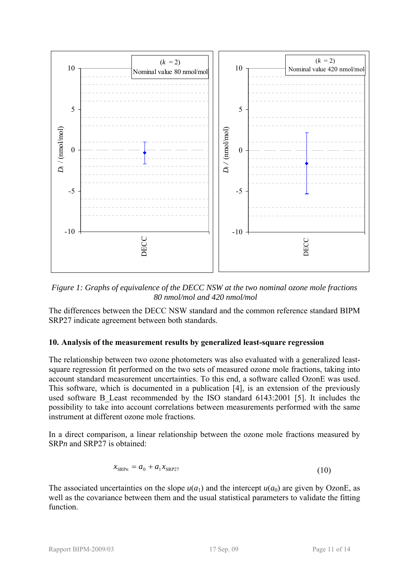

<span id="page-10-1"></span>*Figure 1: Graphs of equivalence of the [DECC NSW](#page-2-0) at the two nominal ozone mole fractions 80 nmol/mol and 420 nmol/mol* 

The differences between the [DECC NSW](#page-2-0) standard and the common reference standard BIPM SRP27 indicate agreement between both standards.

## <span id="page-10-0"></span>**10. Analysis of the measurement results by generalized least-square regression**

The relationship between two ozone photometers was also evaluated with a generalized leastsquare regression fit performed on the two sets of measured ozone mole fractions, taking into account standard measurement uncertainties. To this end, a software called OzonE was used. This software, which is documented in a publication [4], is an extension of the previously used software B Least recommended by the ISO standard 6143:2001 [5]. It includes the possibility to take into account correlations between measurements performed with the same instrument at different ozone mole fractions.

In a direct comparison, a linear relationship between the ozone mole fractions measured by SRP<sub>n</sub> and SRP<sub>27</sub> is obtained:

$$
x_{\text{SRP}n} = a_0 + a_1 x_{\text{SRP}27} \tag{10}
$$

The associated uncertainties on the slope  $u(a_1)$  and the intercept  $u(a_0)$  are given by OzonE, as well as the covariance between them and the usual statistical parameters to validate the fitting function.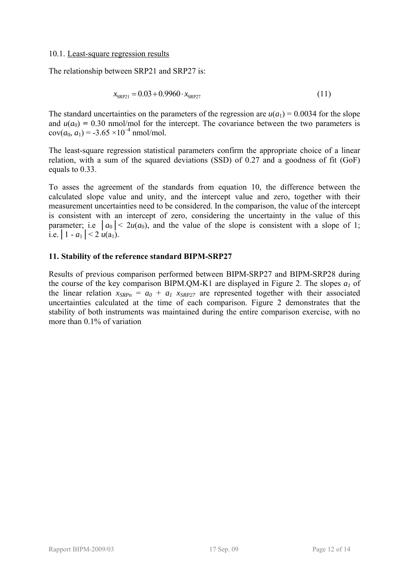#### 10.1. Least-square regression results

The relationship between [SRP21](#page-2-5) and SRP27 is:

$$
x_{SRP21} = 0.03 + 0.9960 \cdot x_{SRP27} \tag{11}
$$

The standard uncertainties on the parameters of the regression are  $u(a_1) = 0.0034$  for the slope and  $u(a_0) = 0.30$  nmol/mol for the intercept. The covariance between the two parameters is  $cov(a_0, a_1) = -3.65 \times 10^{-4}$  nmol/mol.

The least-square regression statistical parameters confirm the appropriate choice of a linear relation, with a sum of the squared deviations (SSD) of 0.27 and a goodness of fit (GoF) equals to 0.33.

To asses the agreement of the standards from equation 10, the difference between the calculated slope value and unity, and the intercept value and zero, together with their measurement uncertainties need to be considered. In the comparison, the value of the intercept is consistent with an intercept of zero, considering the uncertainty in the value of this parameter; i.e  $|a_0| < 2u(a_0)$ , and the value of the slope is consistent with a slope of 1; i.e.  $|1 - a_1| < 2 u(a_1)$ .

#### <span id="page-11-0"></span>**11. Stability of the reference standard BIPM-SRP27**

Results of previous comparison performed between BIPM-SRP27 and BIPM-SRP28 during the course of the key comparison BIPM.QM-K1 are displayed in [Figure 2.](#page-12-2) The slopes  $a_1$  of the linear relation  $x_{SRPn} = a_0 + a_1 x_{SRP27}$  are represented together with their associated uncertainties calculated at the time of each comparison. [Figure 2](#page-12-2) demonstrates that the stability of both instruments was maintained during the entire comparison exercise, with no more than 0.1% of variation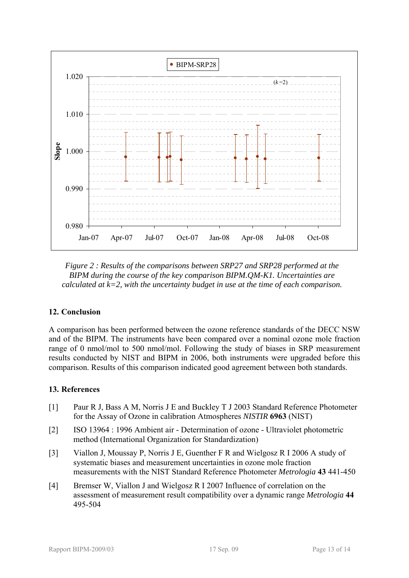

<span id="page-12-2"></span>*Figure 2 : Results of the comparisons between SRP27 and SRP28 performed at the BIPM during the course of the key comparison BIPM.QM-K1. Uncertainties are calculated at k=2, with the uncertainty budget in use at the time of each comparison.* 

## <span id="page-12-0"></span>**12. Conclusion**

A comparison has been performed between the ozone reference standards of the [DECC NSW](#page-2-0) and of the BIPM. The instruments have been compared over a nominal ozone mole fraction range of 0 nmol/mol to 500 nmol/mol. Following the study of biases in SRP measurement results conducted by NIST and BIPM in 2006, both instruments were upgraded before this comparison. Results of this comparison indicated good agreement between both standards.

## <span id="page-12-1"></span>**13. References**

- [1] Paur R J, Bass A M, Norris J E and Buckley T J 2003 Standard Reference Photometer for the Assay of Ozone in calibration Atmospheres *NISTIR* **6963** (NIST)
- [2] ISO 13964 : 1996 Ambient air Determination of ozone Ultraviolet photometric method (International Organization for Standardization)
- [3] Viallon J, Moussay P, Norris J E, Guenther F R and Wielgosz R I 2006 A study of systematic biases and measurement uncertainties in ozone mole fraction measurements with the NIST Standard Reference Photometer *Metrologia* **43** 441-450
- [4] Bremser W, Viallon J and Wielgosz R I 2007 Influence of correlation on the assessment of measurement result compatibility over a dynamic range *Metrologia* **44** 495-504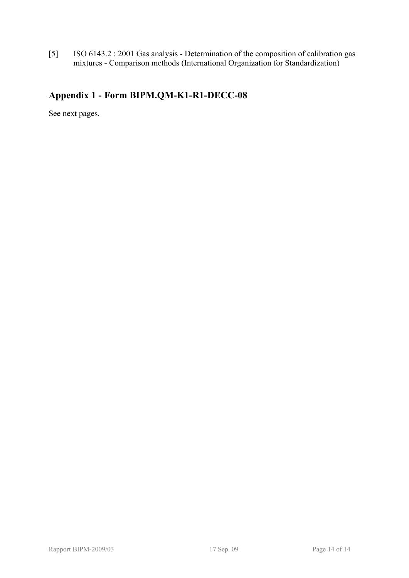[5] ISO 6143.2 : 2001 Gas analysis - Determination of the composition of calibration gas mixtures - Comparison methods (International Organization for Standardization)

## <span id="page-13-0"></span>**Appendix 1 - Form [BIPM.QM-K1-R1-DECC-08](#page-4-4)**

See next pages.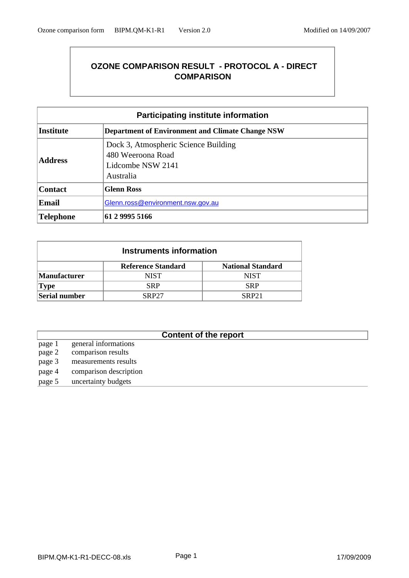## **OZONE COMPARISON RESULT - PROTOCOL A - DIRECT COMPARISON**

| <b>Participating institute information</b> |                                                                                             |  |  |  |
|--------------------------------------------|---------------------------------------------------------------------------------------------|--|--|--|
| <b>Institute</b>                           | <b>Department of Environment and Climate Change NSW</b>                                     |  |  |  |
| <b>Address</b>                             | Dock 3, Atmospheric Science Building<br>480 Weeroona Road<br>Lidcombe NSW 2141<br>Australia |  |  |  |
| <b>Contact</b>                             | <b>Glenn Ross</b>                                                                           |  |  |  |
| <b>Email</b>                               | Glenn.ross@environment.nsw.gov.au                                                           |  |  |  |
| Telephone                                  | 61 2 9995 5166                                                                              |  |  |  |

| Instruments information |                              |                          |  |  |  |  |
|-------------------------|------------------------------|--------------------------|--|--|--|--|
|                         | <b>Reference Standard</b>    | <b>National Standard</b> |  |  |  |  |
| <b>Manufacturer</b>     | NIST                         | <b>NIST</b>              |  |  |  |  |
| <b>Type</b>             | SRP                          | <b>SRP</b>               |  |  |  |  |
| Serial number           | <b>SRP27</b><br><b>SRP21</b> |                          |  |  |  |  |

## **Content of the report**

- page 1 general informations page 2 comparison results page 3 measurements results
- page 4 comparison description
- page 5 uncertainty budgets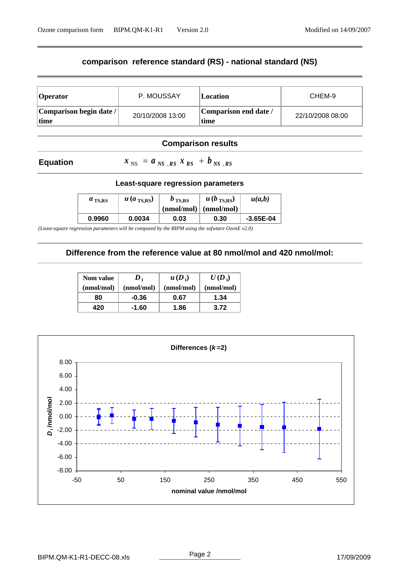## **comparison reference standard (RS) - national standard (NS)**

| <b>Operator</b>                  | P. MOUSSAY       | <i><b>Location</b></i>        | CHEM-9           |
|----------------------------------|------------------|-------------------------------|------------------|
| Comparison begin date /<br> time | 20/10/2008 13:00 | Comparison end date /<br>time | 22/10/2008 08:00 |

### **Comparison results**

#### **Equation**

 $x_{NS} = a_{NS,RS} x_{RS} + b_{NS,RS}$ 

#### **Least-square regression parameters**

| $a_{\text{TS,RS}}$ | $u$ ( <i>a</i> <sub>TS,RS</sub> ) | $b_{\text{TS,RS}}$<br>$(nmol/mol)$ $(nmol/mol)$ | $u(b_{\text{TS,RS}})$ | u(a,b)      |
|--------------------|-----------------------------------|-------------------------------------------------|-----------------------|-------------|
| 0.9960             | 0.0034                            | 0.03                                            | 0.30                  | $-3.65E-04$ |

*(Least-square regression parameters will be computed by the BIPM using the sofwtare OzonE v2.0)*

## **Difference from the reference value at 80 nmol/mol and 420 nmol/mol:**

| Nom value  | $\boldsymbol{D}_i$ | $u(D_i)$   | $U(D_i)$   |
|------------|--------------------|------------|------------|
| (nmol/mol) | (nmol/mol)         | (nmol/mol) | (nmol/mol) |
| 80         | $-0.36$            | 0.67       | 1.34       |
| 420        | -1.60              | 1.86       | 3.72       |

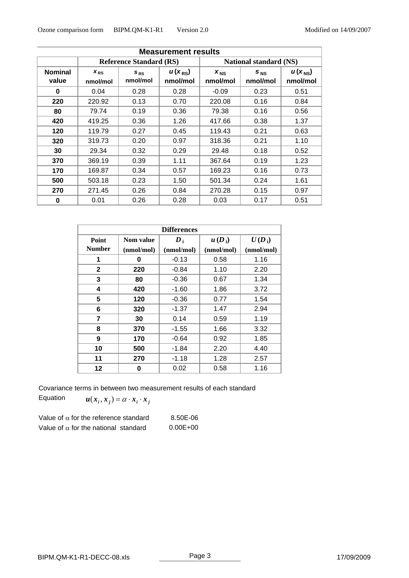| <b>Measurement results</b> |                                |                      |                         |                               |                      |                                |
|----------------------------|--------------------------------|----------------------|-------------------------|-------------------------------|----------------------|--------------------------------|
|                            | <b>Reference Standard (RS)</b> |                      |                         | <b>National standard (NS)</b> |                      |                                |
| <b>Nominal</b><br>value    | $X_{RS}$<br>nmol/mol           | $S_{RS}$<br>nmol/mol | $u(x_{RS})$<br>nmol/mol | $x_{NS}$<br>nmol/mol          | $S_{NS}$<br>nmol/mol | $u(x_{\text{NS}})$<br>nmol/mol |
| $\bf{0}$                   | 0.04                           | 0.28                 | 0.28                    | $-0.09$                       | 0.23                 | 0.51                           |
| 220                        | 220.92                         | 0.13                 | 0.70                    | 220.08                        | 0.16                 | 0.84                           |
| 80                         | 79.74                          | 0.19                 | 0.36                    | 79.38                         | 0.16                 | 0.56                           |
| 420                        | 419.25                         | 0.36                 | 1.26                    | 417.66                        | 0.38                 | 1.37                           |
| 120                        | 119.79                         | 0.27                 | 0.45                    | 119.43                        | 0.21                 | 0.63                           |
| 320                        | 319.73                         | 0.20                 | 0.97                    | 318.36                        | 0.21                 | 1.10                           |
| 30                         | 29.34                          | 0.32                 | 0.29                    | 29.48                         | 0.18                 | 0.52                           |
| 370                        | 369.19                         | 0.39                 | 1.11                    | 367.64                        | 0.19                 | 1.23                           |
| 170                        | 169.87                         | 0.34                 | 0.57                    | 169.23                        | 0.16                 | 0.73                           |
| 500                        | 503.18                         | 0.23                 | 1.50                    | 501.34                        | 0.24                 | 1.61                           |
| 270                        | 271.45                         | 0.26                 | 0.84                    | 270.28                        | 0.15                 | 0.97                           |
| 0                          | 0.01                           | 0.26                 | 0.28                    | 0.03                          | 0.17                 | 0.51                           |

| <b>Differences</b> |            |                    |            |            |  |
|--------------------|------------|--------------------|------------|------------|--|
| Point              | Nom value  | $\boldsymbol{D}_1$ | $u(D_i)$   | $U(D_i)$   |  |
| <b>Number</b>      | (nmol/mol) | (nmol/mol)         | (nmol/mol) | (nmol/mol) |  |
| 1                  | 0          | $-0.13$            | 0.58       | 1.16       |  |
| $\mathbf{2}$       | 220        | $-0.84$            | 1.10       | 2.20       |  |
| 3                  | 80         | $-0.36$            | 0.67       | 1.34       |  |
| 4                  | 420        | $-1.60$            | 1.86       | 3.72       |  |
| 5                  | 120        | $-0.36$            | 0.77       | 1.54       |  |
| 6                  | 320        | $-1.37$            | 1.47       | 2.94       |  |
| 7                  | 30         | 0.14               | 0.59       | 1.19       |  |
| 8                  | 370        | $-1.55$            | 1.66       | 3.32       |  |
| 9                  | 170        | $-0.64$            | 0.92       | 1.85       |  |
| 10                 | 500        | $-1.84$            | 2.20       | 4.40       |  |
| 11                 | 270        | $-1.18$            | 1.28       | 2.57       |  |
| 12                 | 0          | 0.02               | 0.58       | 1.16       |  |

Covariance terms in between two measurement results of each standard

Equation  $u(x_i, x_j) = \alpha \cdot x_i \cdot x_j$ 

| Value of $\alpha$ for the reference standard | 8.50E-06     |
|----------------------------------------------|--------------|
| Value of $\alpha$ for the national standard  | $0.00E + 00$ |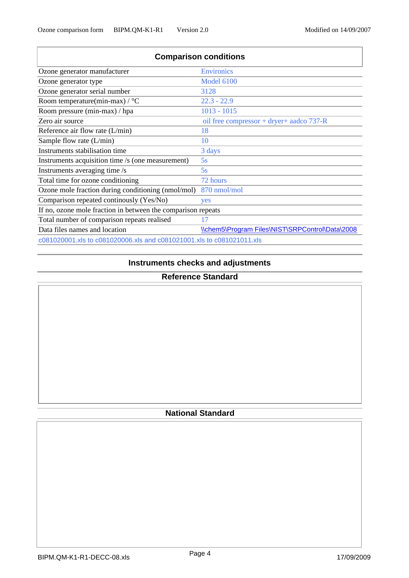| <b>Comparison conditions</b>                                          |                                                 |  |  |  |  |  |  |
|-----------------------------------------------------------------------|-------------------------------------------------|--|--|--|--|--|--|
| Ozone generator manufacturer                                          | <b>Environics</b>                               |  |  |  |  |  |  |
| Ozone generator type                                                  | <b>Model 6100</b>                               |  |  |  |  |  |  |
| Ozone generator serial number                                         | 3128                                            |  |  |  |  |  |  |
| Room temperature(min-max) / $\rm{^{\circ}C}$                          | $22.3 - 22.9$                                   |  |  |  |  |  |  |
| Room pressure (min-max) / hpa                                         | $1013 - 1015$                                   |  |  |  |  |  |  |
| Zero air source                                                       | oil free compressor + dryer+ aadco $737-R$      |  |  |  |  |  |  |
| Reference air flow rate $(L/min)$                                     | 18                                              |  |  |  |  |  |  |
| Sample flow rate $(L/min)$                                            | 10                                              |  |  |  |  |  |  |
| Instruments stabilisation time                                        | 3 days                                          |  |  |  |  |  |  |
| Instruments acquisition time /s (one measurement)                     | 5s                                              |  |  |  |  |  |  |
| Instruments averaging time /s                                         | 5s                                              |  |  |  |  |  |  |
| Total time for ozone conditioning                                     | 72 hours                                        |  |  |  |  |  |  |
| Ozone mole fraction during conditioning (nmol/mol)                    | 870 nmol/mol                                    |  |  |  |  |  |  |
| Comparison repeated continously (Yes/No)                              | yes                                             |  |  |  |  |  |  |
| If no, ozone mole fraction in between the comparison repeats          |                                                 |  |  |  |  |  |  |
| Total number of comparison repeats realised                           | 17                                              |  |  |  |  |  |  |
| Data files names and location                                         | \\chem5\Program Files\NIST\SRPControl\Data\2008 |  |  |  |  |  |  |
| c081020001.xls to c081020006.xls and c081021001.xls to c081021011.xls |                                                 |  |  |  |  |  |  |

## **Instruments checks and adjustments**

## **Reference Standard**

## **National Standard**